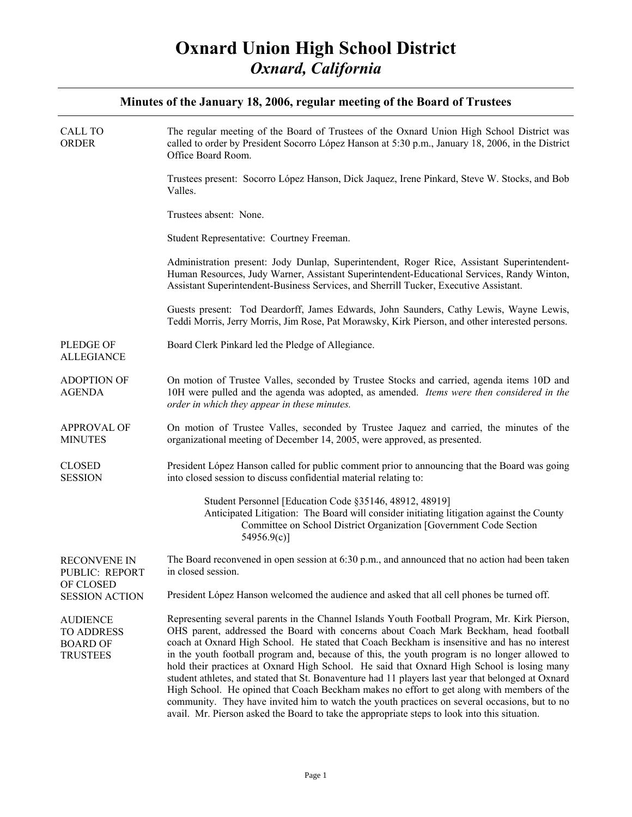| <b>CALL TO</b><br><b>ORDER</b>                                              | The regular meeting of the Board of Trustees of the Oxnard Union High School District was<br>called to order by President Socorro López Hanson at 5:30 p.m., January 18, 2006, in the District<br>Office Board Room.                                                                                                                                                                                                                                                                                                                                                                                                                                                                                                                                                                                                                                                                        |
|-----------------------------------------------------------------------------|---------------------------------------------------------------------------------------------------------------------------------------------------------------------------------------------------------------------------------------------------------------------------------------------------------------------------------------------------------------------------------------------------------------------------------------------------------------------------------------------------------------------------------------------------------------------------------------------------------------------------------------------------------------------------------------------------------------------------------------------------------------------------------------------------------------------------------------------------------------------------------------------|
|                                                                             | Trustees present: Socorro López Hanson, Dick Jaquez, Irene Pinkard, Steve W. Stocks, and Bob<br>Valles.                                                                                                                                                                                                                                                                                                                                                                                                                                                                                                                                                                                                                                                                                                                                                                                     |
|                                                                             | Trustees absent: None.                                                                                                                                                                                                                                                                                                                                                                                                                                                                                                                                                                                                                                                                                                                                                                                                                                                                      |
|                                                                             | Student Representative: Courtney Freeman.                                                                                                                                                                                                                                                                                                                                                                                                                                                                                                                                                                                                                                                                                                                                                                                                                                                   |
|                                                                             | Administration present: Jody Dunlap, Superintendent, Roger Rice, Assistant Superintendent-<br>Human Resources, Judy Warner, Assistant Superintendent-Educational Services, Randy Winton,<br>Assistant Superintendent-Business Services, and Sherrill Tucker, Executive Assistant.                                                                                                                                                                                                                                                                                                                                                                                                                                                                                                                                                                                                           |
|                                                                             | Guests present: Tod Deardorff, James Edwards, John Saunders, Cathy Lewis, Wayne Lewis,<br>Teddi Morris, Jerry Morris, Jim Rose, Pat Morawsky, Kirk Pierson, and other interested persons.                                                                                                                                                                                                                                                                                                                                                                                                                                                                                                                                                                                                                                                                                                   |
| <b>PLEDGE OF</b><br><b>ALLEGIANCE</b>                                       | Board Clerk Pinkard led the Pledge of Allegiance.                                                                                                                                                                                                                                                                                                                                                                                                                                                                                                                                                                                                                                                                                                                                                                                                                                           |
| <b>ADOPTION OF</b><br><b>AGENDA</b>                                         | On motion of Trustee Valles, seconded by Trustee Stocks and carried, agenda items 10D and<br>10H were pulled and the agenda was adopted, as amended. Items were then considered in the<br>order in which they appear in these minutes.                                                                                                                                                                                                                                                                                                                                                                                                                                                                                                                                                                                                                                                      |
| <b>APPROVAL OF</b><br><b>MINUTES</b>                                        | On motion of Trustee Valles, seconded by Trustee Jaquez and carried, the minutes of the<br>organizational meeting of December 14, 2005, were approved, as presented.                                                                                                                                                                                                                                                                                                                                                                                                                                                                                                                                                                                                                                                                                                                        |
| <b>CLOSED</b><br><b>SESSION</b>                                             | President López Hanson called for public comment prior to announcing that the Board was going<br>into closed session to discuss confidential material relating to:                                                                                                                                                                                                                                                                                                                                                                                                                                                                                                                                                                                                                                                                                                                          |
|                                                                             | Student Personnel [Education Code §35146, 48912, 48919]<br>Anticipated Litigation: The Board will consider initiating litigation against the County<br>Committee on School District Organization [Government Code Section<br>54956.9(c)                                                                                                                                                                                                                                                                                                                                                                                                                                                                                                                                                                                                                                                     |
| <b>RECONVENE IN</b><br>PUBLIC: REPORT<br>OF CLOSED<br><b>SESSION ACTION</b> | The Board reconvened in open session at 6:30 p.m., and announced that no action had been taken<br>in closed session.                                                                                                                                                                                                                                                                                                                                                                                                                                                                                                                                                                                                                                                                                                                                                                        |
|                                                                             | President López Hanson welcomed the audience and asked that all cell phones be turned off.                                                                                                                                                                                                                                                                                                                                                                                                                                                                                                                                                                                                                                                                                                                                                                                                  |
| <b>AUDIENCE</b><br><b>TO ADDRESS</b><br><b>BOARD OF</b><br><b>TRUSTEES</b>  | Representing several parents in the Channel Islands Youth Football Program, Mr. Kirk Pierson,<br>OHS parent, addressed the Board with concerns about Coach Mark Beckham, head football<br>coach at Oxnard High School. He stated that Coach Beckham is insensitive and has no interest<br>in the youth football program and, because of this, the youth program is no longer allowed to<br>hold their practices at Oxnard High School. He said that Oxnard High School is losing many<br>student athletes, and stated that St. Bonaventure had 11 players last year that belonged at Oxnard<br>High School. He opined that Coach Beckham makes no effort to get along with members of the<br>community. They have invited him to watch the youth practices on several occasions, but to no<br>avail. Mr. Pierson asked the Board to take the appropriate steps to look into this situation. |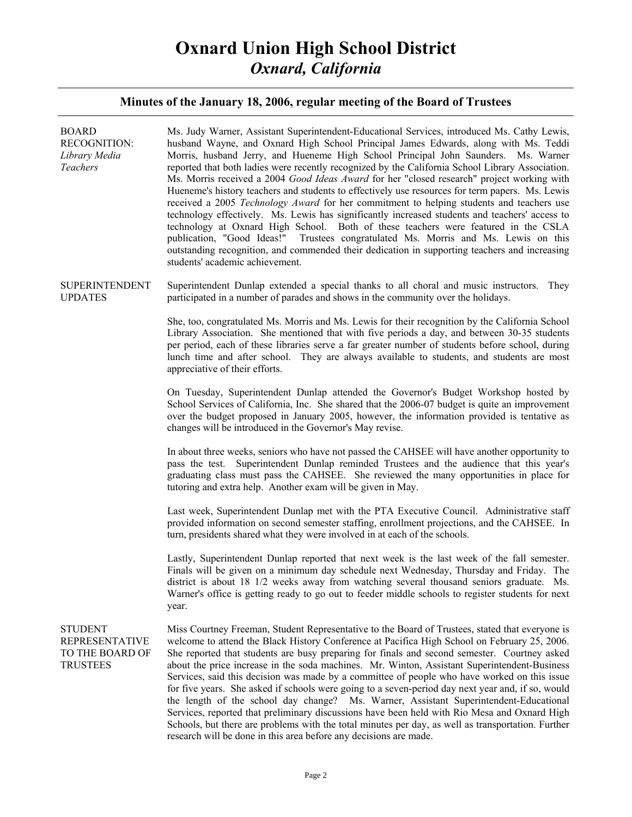# **Oxnard Union High School District**  *Oxnard, California*

| <b>BOARD</b><br><b>RECOGNITION:</b><br>Library Media<br>Teachers              | Ms. Judy Warner, Assistant Superintendent-Educational Services, introduced Ms. Cathy Lewis,<br>husband Wayne, and Oxnard High School Principal James Edwards, along with Ms. Teddi<br>Morris, husband Jerry, and Hueneme High School Principal John Saunders. Ms. Warner<br>reported that both ladies were recently recognized by the California School Library Association.<br>Ms. Morris received a 2004 Good Ideas Award for her "closed research" project working with<br>Hueneme's history teachers and students to effectively use resources for term papers. Ms. Lewis<br>received a 2005 Technology Award for her commitment to helping students and teachers use<br>technology effectively. Ms. Lewis has significantly increased students and teachers' access to<br>technology at Oxnard High School. Both of these teachers were featured in the CSLA<br>publication, "Good Ideas!" Trustees congratulated Ms. Morris and Ms. Lewis on this<br>outstanding recognition, and commended their dedication in supporting teachers and increasing<br>students' academic achievement. |
|-------------------------------------------------------------------------------|---------------------------------------------------------------------------------------------------------------------------------------------------------------------------------------------------------------------------------------------------------------------------------------------------------------------------------------------------------------------------------------------------------------------------------------------------------------------------------------------------------------------------------------------------------------------------------------------------------------------------------------------------------------------------------------------------------------------------------------------------------------------------------------------------------------------------------------------------------------------------------------------------------------------------------------------------------------------------------------------------------------------------------------------------------------------------------------------|
| <b>SUPERINTENDENT</b><br><b>UPDATES</b>                                       | Superintendent Dunlap extended a special thanks to all choral and music instructors. They<br>participated in a number of parades and shows in the community over the holidays.                                                                                                                                                                                                                                                                                                                                                                                                                                                                                                                                                                                                                                                                                                                                                                                                                                                                                                              |
|                                                                               | She, too, congratulated Ms. Morris and Ms. Lewis for their recognition by the California School<br>Library Association. She mentioned that with five periods a day, and between 30-35 students<br>per period, each of these libraries serve a far greater number of students before school, during<br>lunch time and after school. They are always available to students, and students are most<br>appreciative of their efforts.                                                                                                                                                                                                                                                                                                                                                                                                                                                                                                                                                                                                                                                           |
|                                                                               | On Tuesday, Superintendent Dunlap attended the Governor's Budget Workshop hosted by<br>School Services of California, Inc. She shared that the 2006-07 budget is quite an improvement<br>over the budget proposed in January 2005, however, the information provided is tentative as<br>changes will be introduced in the Governor's May revise.                                                                                                                                                                                                                                                                                                                                                                                                                                                                                                                                                                                                                                                                                                                                            |
|                                                                               | In about three weeks, seniors who have not passed the CAHSEE will have another opportunity to<br>pass the test. Superintendent Dunlap reminded Trustees and the audience that this year's<br>graduating class must pass the CAHSEE. She reviewed the many opportunities in place for<br>tutoring and extra help. Another exam will be given in May.                                                                                                                                                                                                                                                                                                                                                                                                                                                                                                                                                                                                                                                                                                                                         |
|                                                                               | Last week, Superintendent Dunlap met with the PTA Executive Council. Administrative staff<br>provided information on second semester staffing, enrollment projections, and the CAHSEE. In<br>turn, presidents shared what they were involved in at each of the schools.                                                                                                                                                                                                                                                                                                                                                                                                                                                                                                                                                                                                                                                                                                                                                                                                                     |
|                                                                               | Lastly, Superintendent Dunlap reported that next week is the last week of the fall semester.<br>Finals will be given on a minimum day schedule next Wednesday, Thursday and Friday. The<br>district is about 18 1/2 weeks away from watching several thousand seniors graduate. Ms.<br>Warner's office is getting ready to go out to feeder middle schools to register students for next<br>year.                                                                                                                                                                                                                                                                                                                                                                                                                                                                                                                                                                                                                                                                                           |
| <b>STUDENT</b><br><b>REPRESENTATIVE</b><br>TO THE BOARD OF<br><b>TRUSTEES</b> | Miss Courtney Freeman, Student Representative to the Board of Trustees, stated that everyone is<br>welcome to attend the Black History Conference at Pacifica High School on February 25, 2006.<br>She reported that students are busy preparing for finals and second semester. Courtney asked<br>about the price increase in the soda machines. Mr. Winton, Assistant Superintendent-Business<br>Services, said this decision was made by a committee of people who have worked on this issue<br>for five years. She asked if schools were going to a seven-period day next year and, if so, would<br>the length of the school day change? Ms. Warner, Assistant Superintendent-Educational<br>Services, reported that preliminary discussions have been held with Rio Mesa and Oxnard High<br>Schools, but there are problems with the total minutes per day, as well as transportation. Further<br>research will be done in this area before any decisions are made.                                                                                                                    |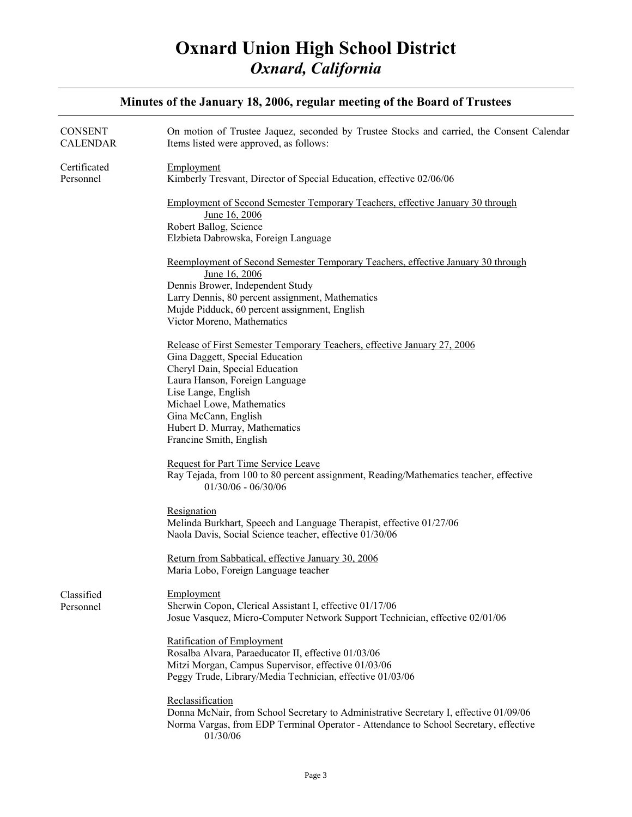| Minutes of the January 18, 2006, regular meeting of the Board of Trustees |                                                                                                                                                                                                               |
|---------------------------------------------------------------------------|---------------------------------------------------------------------------------------------------------------------------------------------------------------------------------------------------------------|
| <b>CONSENT</b><br><b>CALENDAR</b>                                         | On motion of Trustee Jaquez, seconded by Trustee Stocks and carried, the Consent Calendar<br>Items listed were approved, as follows:                                                                          |
| Certificated<br>Personnel                                                 | Employment<br>Kimberly Tresvant, Director of Special Education, effective 02/06/06                                                                                                                            |
|                                                                           | Employment of Second Semester Temporary Teachers, effective January 30 through<br>June 16, 2006<br>Robert Ballog, Science                                                                                     |
|                                                                           | Elzbieta Dabrowska, Foreign Language                                                                                                                                                                          |
|                                                                           | Reemployment of Second Semester Temporary Teachers, effective January 30 through<br>June 16, 2006<br>Dennis Brower, Independent Study<br>Larry Dennis, 80 percent assignment, Mathematics                     |
|                                                                           | Mujde Pidduck, 60 percent assignment, English                                                                                                                                                                 |
|                                                                           | Victor Moreno, Mathematics                                                                                                                                                                                    |
|                                                                           | Release of First Semester Temporary Teachers, effective January 27, 2006<br>Gina Daggett, Special Education<br>Cheryl Dain, Special Education<br>Laura Hanson, Foreign Language                               |
|                                                                           | Lise Lange, English<br>Michael Lowe, Mathematics<br>Gina McCann, English                                                                                                                                      |
|                                                                           | Hubert D. Murray, Mathematics<br>Francine Smith, English                                                                                                                                                      |
|                                                                           | <b>Request for Part Time Service Leave</b><br>Ray Tejada, from 100 to 80 percent assignment, Reading/Mathematics teacher, effective<br>$01/30/06 - 06/30/06$                                                  |
|                                                                           | Resignation<br>Melinda Burkhart, Speech and Language Therapist, effective 01/27/06<br>Naola Davis, Social Science teacher, effective 01/30/06                                                                 |
|                                                                           | Return from Sabbatical, effective January 30, 2006<br>Maria Lobo, Foreign Language teacher                                                                                                                    |
| Classified<br>Personnel                                                   | Employment<br>Sherwin Copon, Clerical Assistant I, effective 01/17/06<br>Josue Vasquez, Micro-Computer Network Support Technician, effective 02/01/06                                                         |
|                                                                           | Ratification of Employment<br>Rosalba Alvara, Paraeducator II, effective 01/03/06<br>Mitzi Morgan, Campus Supervisor, effective 01/03/06<br>Peggy Trude, Library/Media Technician, effective 01/03/06         |
|                                                                           | Reclassification<br>Donna McNair, from School Secretary to Administrative Secretary I, effective 01/09/06<br>Norma Vargas, from EDP Terminal Operator - Attendance to School Secretary, effective<br>01/30/06 |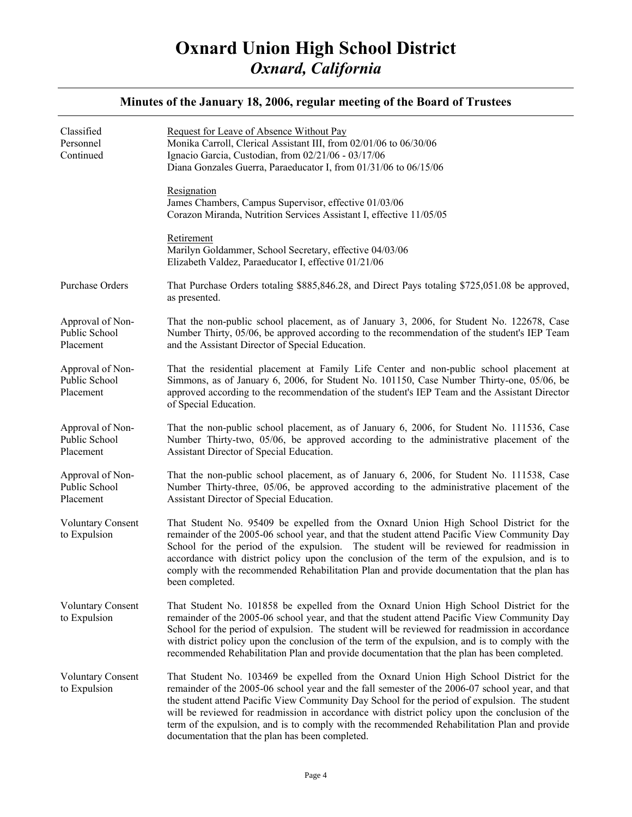| Classified<br>Personnel<br>Continued           | Request for Leave of Absence Without Pay<br>Monika Carroll, Clerical Assistant III, from 02/01/06 to 06/30/06<br>Ignacio Garcia, Custodian, from 02/21/06 - 03/17/06<br>Diana Gonzales Guerra, Paraeducator I, from 01/31/06 to 06/15/06                                                                                                                                                                                                                                                                                                        |
|------------------------------------------------|-------------------------------------------------------------------------------------------------------------------------------------------------------------------------------------------------------------------------------------------------------------------------------------------------------------------------------------------------------------------------------------------------------------------------------------------------------------------------------------------------------------------------------------------------|
|                                                | Resignation<br>James Chambers, Campus Supervisor, effective 01/03/06<br>Corazon Miranda, Nutrition Services Assistant I, effective 11/05/05                                                                                                                                                                                                                                                                                                                                                                                                     |
|                                                | Retirement<br>Marilyn Goldammer, School Secretary, effective 04/03/06<br>Elizabeth Valdez, Paraeducator I, effective 01/21/06                                                                                                                                                                                                                                                                                                                                                                                                                   |
| Purchase Orders                                | That Purchase Orders totaling \$885,846.28, and Direct Pays totaling \$725,051.08 be approved,<br>as presented.                                                                                                                                                                                                                                                                                                                                                                                                                                 |
| Approval of Non-<br>Public School<br>Placement | That the non-public school placement, as of January 3, 2006, for Student No. 122678, Case<br>Number Thirty, 05/06, be approved according to the recommendation of the student's IEP Team<br>and the Assistant Director of Special Education.                                                                                                                                                                                                                                                                                                    |
| Approval of Non-<br>Public School<br>Placement | That the residential placement at Family Life Center and non-public school placement at<br>Simmons, as of January 6, 2006, for Student No. 101150, Case Number Thirty-one, 05/06, be<br>approved according to the recommendation of the student's IEP Team and the Assistant Director<br>of Special Education.                                                                                                                                                                                                                                  |
| Approval of Non-<br>Public School<br>Placement | That the non-public school placement, as of January 6, 2006, for Student No. 111536, Case<br>Number Thirty-two, 05/06, be approved according to the administrative placement of the<br>Assistant Director of Special Education.                                                                                                                                                                                                                                                                                                                 |
| Approval of Non-<br>Public School<br>Placement | That the non-public school placement, as of January 6, 2006, for Student No. 111538, Case<br>Number Thirty-three, 05/06, be approved according to the administrative placement of the<br>Assistant Director of Special Education.                                                                                                                                                                                                                                                                                                               |
| <b>Voluntary Consent</b><br>to Expulsion       | That Student No. 95409 be expelled from the Oxnard Union High School District for the<br>remainder of the 2005-06 school year, and that the student attend Pacific View Community Day<br>School for the period of the expulsion. The student will be reviewed for readmission in<br>accordance with district policy upon the conclusion of the term of the expulsion, and is to<br>comply with the recommended Rehabilitation Plan and provide documentation that the plan has<br>been completed.                                               |
| <b>Voluntary Consent</b><br>to Expulsion       | That Student No. 101858 be expelled from the Oxnard Union High School District for the<br>remainder of the 2005-06 school year, and that the student attend Pacific View Community Day<br>School for the period of expulsion. The student will be reviewed for readmission in accordance<br>with district policy upon the conclusion of the term of the expulsion, and is to comply with the<br>recommended Rehabilitation Plan and provide documentation that the plan has been completed.                                                     |
| <b>Voluntary Consent</b><br>to Expulsion       | That Student No. 103469 be expelled from the Oxnard Union High School District for the<br>remainder of the 2005-06 school year and the fall semester of the 2006-07 school year, and that<br>the student attend Pacific View Community Day School for the period of expulsion. The student<br>will be reviewed for readmission in accordance with district policy upon the conclusion of the<br>term of the expulsion, and is to comply with the recommended Rehabilitation Plan and provide<br>documentation that the plan has been completed. |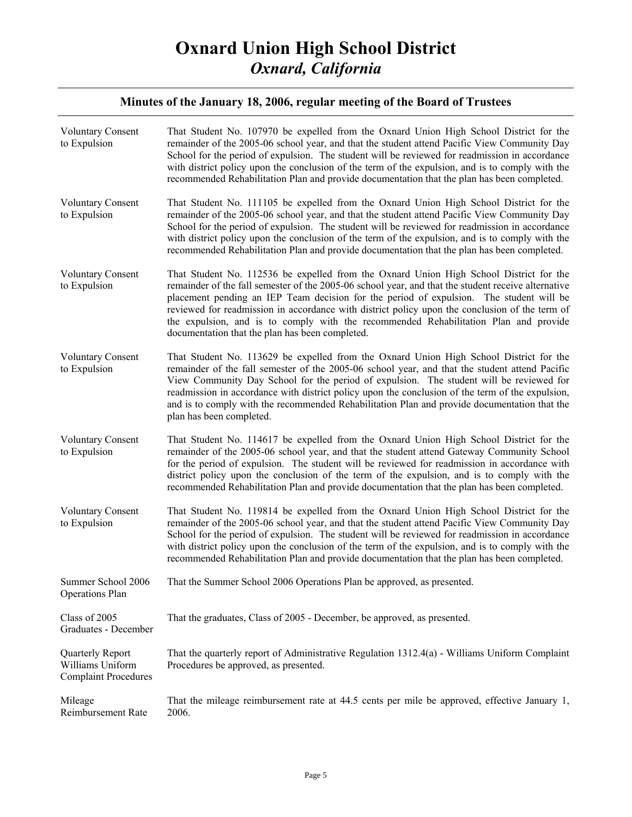| <b>Voluntary Consent</b><br>to Expulsion                            | That Student No. 107970 be expelled from the Oxnard Union High School District for the<br>remainder of the 2005-06 school year, and that the student attend Pacific View Community Day<br>School for the period of expulsion. The student will be reviewed for readmission in accordance<br>with district policy upon the conclusion of the term of the expulsion, and is to comply with the<br>recommended Rehabilitation Plan and provide documentation that the plan has been completed.                                           |
|---------------------------------------------------------------------|---------------------------------------------------------------------------------------------------------------------------------------------------------------------------------------------------------------------------------------------------------------------------------------------------------------------------------------------------------------------------------------------------------------------------------------------------------------------------------------------------------------------------------------|
| <b>Voluntary Consent</b><br>to Expulsion                            | That Student No. 111105 be expelled from the Oxnard Union High School District for the<br>remainder of the 2005-06 school year, and that the student attend Pacific View Community Day<br>School for the period of expulsion. The student will be reviewed for readmission in accordance<br>with district policy upon the conclusion of the term of the expulsion, and is to comply with the<br>recommended Rehabilitation Plan and provide documentation that the plan has been completed.                                           |
| Voluntary Consent<br>to Expulsion                                   | That Student No. 112536 be expelled from the Oxnard Union High School District for the<br>remainder of the fall semester of the 2005-06 school year, and that the student receive alternative<br>placement pending an IEP Team decision for the period of expulsion. The student will be<br>reviewed for readmission in accordance with district policy upon the conclusion of the term of<br>the expulsion, and is to comply with the recommended Rehabilitation Plan and provide<br>documentation that the plan has been completed. |
| <b>Voluntary Consent</b><br>to Expulsion                            | That Student No. 113629 be expelled from the Oxnard Union High School District for the<br>remainder of the fall semester of the 2005-06 school year, and that the student attend Pacific<br>View Community Day School for the period of expulsion. The student will be reviewed for<br>readmission in accordance with district policy upon the conclusion of the term of the expulsion,<br>and is to comply with the recommended Rehabilitation Plan and provide documentation that the<br>plan has been completed.                   |
| <b>Voluntary Consent</b><br>to Expulsion                            | That Student No. 114617 be expelled from the Oxnard Union High School District for the<br>remainder of the 2005-06 school year, and that the student attend Gateway Community School<br>for the period of expulsion. The student will be reviewed for readmission in accordance with<br>district policy upon the conclusion of the term of the expulsion, and is to comply with the<br>recommended Rehabilitation Plan and provide documentation that the plan has been completed.                                                    |
| <b>Voluntary Consent</b><br>to Expulsion                            | That Student No. 119814 be expelled from the Oxnard Union High School District for the<br>remainder of the 2005-06 school year, and that the student attend Pacific View Community Day<br>School for the period of expulsion. The student will be reviewed for readmission in accordance<br>with district policy upon the conclusion of the term of the expulsion, and is to comply with the<br>recommended Rehabilitation Plan and provide documentation that the plan has been completed.                                           |
| Summer School 2006<br>Operations Plan                               | That the Summer School 2006 Operations Plan be approved, as presented.                                                                                                                                                                                                                                                                                                                                                                                                                                                                |
| Class of 2005<br>Graduates - December                               | That the graduates, Class of 2005 - December, be approved, as presented.                                                                                                                                                                                                                                                                                                                                                                                                                                                              |
| Quarterly Report<br>Williams Uniform<br><b>Complaint Procedures</b> | That the quarterly report of Administrative Regulation 1312.4(a) - Williams Uniform Complaint<br>Procedures be approved, as presented.                                                                                                                                                                                                                                                                                                                                                                                                |
| Mileage<br>Reimbursement Rate                                       | That the mileage reimbursement rate at 44.5 cents per mile be approved, effective January 1,<br>2006.                                                                                                                                                                                                                                                                                                                                                                                                                                 |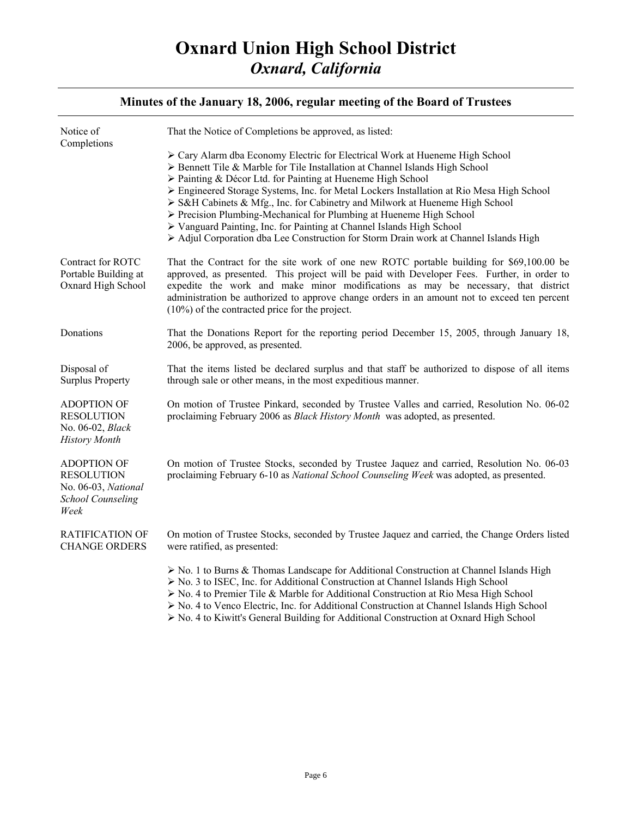| Notice of<br>Completions                                                                           | That the Notice of Completions be approved, as listed:                                                                                                                                                                                                                                                                                                                                                                                                                                                                                                                                                                                          |
|----------------------------------------------------------------------------------------------------|-------------------------------------------------------------------------------------------------------------------------------------------------------------------------------------------------------------------------------------------------------------------------------------------------------------------------------------------------------------------------------------------------------------------------------------------------------------------------------------------------------------------------------------------------------------------------------------------------------------------------------------------------|
|                                                                                                    | > Cary Alarm dba Economy Electric for Electrical Work at Hueneme High School<br>> Bennett Tile & Marble for Tile Installation at Channel Islands High School<br>> Painting & Décor Ltd. for Painting at Hueneme High School<br>▶ Engineered Storage Systems, Inc. for Metal Lockers Installation at Rio Mesa High School<br>S&H Cabinets & Mfg., Inc. for Cabinetry and Milwork at Hueneme High School<br>> Precision Plumbing-Mechanical for Plumbing at Hueneme High School<br>> Vanguard Painting, Inc. for Painting at Channel Islands High School<br>> Adjul Corporation dba Lee Construction for Storm Drain work at Channel Islands High |
| Contract for ROTC<br>Portable Building at<br>Oxnard High School                                    | That the Contract for the site work of one new ROTC portable building for \$69,100.00 be<br>approved, as presented. This project will be paid with Developer Fees. Further, in order to<br>expedite the work and make minor modifications as may be necessary, that district<br>administration be authorized to approve change orders in an amount not to exceed ten percent<br>$(10\%)$ of the contracted price for the project.                                                                                                                                                                                                               |
| Donations                                                                                          | That the Donations Report for the reporting period December 15, 2005, through January 18,<br>2006, be approved, as presented.                                                                                                                                                                                                                                                                                                                                                                                                                                                                                                                   |
| Disposal of<br><b>Surplus Property</b>                                                             | That the items listed be declared surplus and that staff be authorized to dispose of all items<br>through sale or other means, in the most expeditious manner.                                                                                                                                                                                                                                                                                                                                                                                                                                                                                  |
| <b>ADOPTION OF</b><br><b>RESOLUTION</b><br>No. 06-02, Black<br><b>History Month</b>                | On motion of Trustee Pinkard, seconded by Trustee Valles and carried, Resolution No. 06-02<br>proclaiming February 2006 as Black History Month was adopted, as presented.                                                                                                                                                                                                                                                                                                                                                                                                                                                                       |
| <b>ADOPTION OF</b><br><b>RESOLUTION</b><br>No. 06-03, National<br><b>School Counseling</b><br>Week | On motion of Trustee Stocks, seconded by Trustee Jaquez and carried, Resolution No. 06-03<br>proclaiming February 6-10 as National School Counseling Week was adopted, as presented.                                                                                                                                                                                                                                                                                                                                                                                                                                                            |
| <b>RATIFICATION OF</b><br><b>CHANGE ORDERS</b>                                                     | On motion of Trustee Stocks, seconded by Trustee Jaquez and carried, the Change Orders listed<br>were ratified, as presented:                                                                                                                                                                                                                                                                                                                                                                                                                                                                                                                   |
|                                                                                                    | $\triangleright$ No. 1 to Burns & Thomas Landscape for Additional Construction at Channel Islands High<br>> No. 3 to ISEC, Inc. for Additional Construction at Channel Islands High School<br>> No. 4 to Premier Tile & Marble for Additional Construction at Rio Mesa High School<br>$\triangleright$ No. 4 to Venco Electric, Inc. for Additional Construction at Channel Islands High School<br>$\triangleright$ No. 4 to Kiwitt's General Building for Additional Construction at Oxnard High School                                                                                                                                        |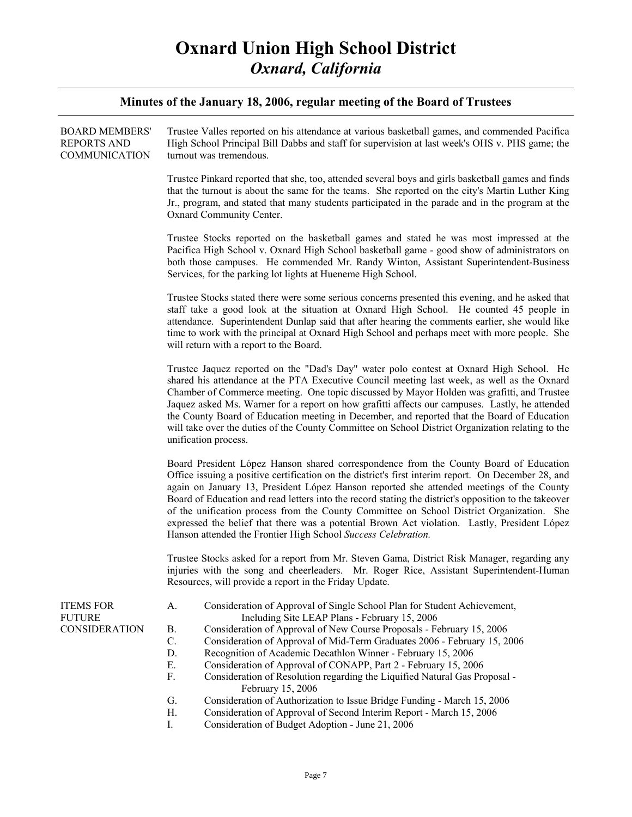| Trustee Valles reported on his attendance at various basketball games, and commended Pacifica<br>High School Principal Bill Dabbs and staff for supervision at last week's OHS v. PHS game; the<br>turnout was tremendous.                                                                                                                                                                                                                                                                                                                                                                                                                                                                                                                                                                   |
|----------------------------------------------------------------------------------------------------------------------------------------------------------------------------------------------------------------------------------------------------------------------------------------------------------------------------------------------------------------------------------------------------------------------------------------------------------------------------------------------------------------------------------------------------------------------------------------------------------------------------------------------------------------------------------------------------------------------------------------------------------------------------------------------|
| Trustee Pinkard reported that she, too, attended several boys and girls basketball games and finds<br>that the turnout is about the same for the teams. She reported on the city's Martin Luther King<br>Jr., program, and stated that many students participated in the parade and in the program at the<br>Oxnard Community Center.                                                                                                                                                                                                                                                                                                                                                                                                                                                        |
| Trustee Stocks reported on the basketball games and stated he was most impressed at the<br>Pacifica High School v. Oxnard High School basketball game - good show of administrators on<br>both those campuses. He commended Mr. Randy Winton, Assistant Superintendent-Business<br>Services, for the parking lot lights at Hueneme High School.                                                                                                                                                                                                                                                                                                                                                                                                                                              |
| Trustee Stocks stated there were some serious concerns presented this evening, and he asked that<br>staff take a good look at the situation at Oxnard High School. He counted 45 people in<br>attendance. Superintendent Dunlap said that after hearing the comments earlier, she would like<br>time to work with the principal at Oxnard High School and perhaps meet with more people. She<br>will return with a report to the Board.                                                                                                                                                                                                                                                                                                                                                      |
| Trustee Jaquez reported on the "Dad's Day" water polo contest at Oxnard High School. He<br>shared his attendance at the PTA Executive Council meeting last week, as well as the Oxnard<br>Chamber of Commerce meeting. One topic discussed by Mayor Holden was grafitti, and Trustee<br>Jaquez asked Ms. Warner for a report on how grafitti affects our campuses. Lastly, he attended<br>the County Board of Education meeting in December, and reported that the Board of Education<br>will take over the duties of the County Committee on School District Organization relating to the<br>unification process.                                                                                                                                                                           |
| Board President López Hanson shared correspondence from the County Board of Education<br>Office issuing a positive certification on the district's first interim report. On December 28, and<br>again on January 13, President López Hanson reported she attended meetings of the County<br>Board of Education and read letters into the record stating the district's opposition to the takeover<br>of the unification process from the County Committee on School District Organization. She<br>expressed the belief that there was a potential Brown Act violation. Lastly, President López<br>Hanson attended the Frontier High School Success Celebration.                                                                                                                              |
| Trustee Stocks asked for a report from Mr. Steven Gama, District Risk Manager, regarding any<br>injuries with the song and cheerleaders. Mr. Roger Rice, Assistant Superintendent-Human<br>Resources, will provide a report in the Friday Update.                                                                                                                                                                                                                                                                                                                                                                                                                                                                                                                                            |
| Consideration of Approval of Single School Plan for Student Achievement,<br>A.<br>Including Site LEAP Plans - February 15, 2006<br>Consideration of Approval of New Course Proposals - February 15, 2006<br>Β.<br>C.<br>Consideration of Approval of Mid-Term Graduates 2006 - February 15, 2006<br>D.<br>Recognition of Academic Decathlon Winner - February 15, 2006<br>Consideration of Approval of CONAPP, Part 2 - February 15, 2006<br>Е.<br>F.<br>Consideration of Resolution regarding the Liquified Natural Gas Proposal -<br>February 15, 2006<br>G.<br>Consideration of Authorization to Issue Bridge Funding - March 15, 2006<br>Η.<br>Consideration of Approval of Second Interim Report - March 15, 2006<br>$\mathbf{I}$ .<br>Consideration of Budget Adoption - June 21, 2006 |
|                                                                                                                                                                                                                                                                                                                                                                                                                                                                                                                                                                                                                                                                                                                                                                                              |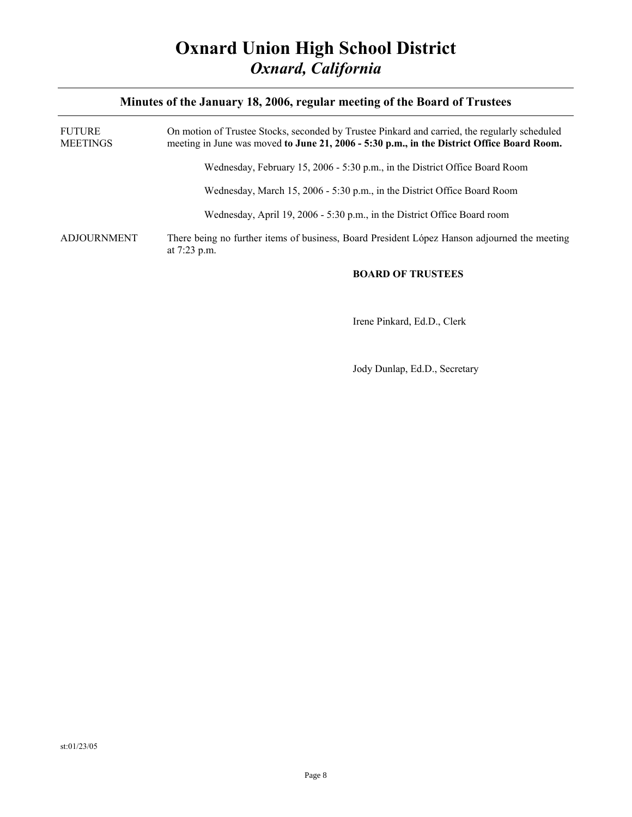| FUTURE<br>MEETINGS | On motion of Trustee Stocks, seconded by Trustee Pinkard and carried, the regularly scheduled<br>meeting in June was moved to June 21, 2006 - 5:30 p.m., in the District Office Board Room. |
|--------------------|---------------------------------------------------------------------------------------------------------------------------------------------------------------------------------------------|
|                    | Wednesday, February 15, 2006 - 5:30 p.m., in the District Office Board Room                                                                                                                 |
|                    | Wednesday, March 15, 2006 - 5:30 p.m., in the District Office Board Room                                                                                                                    |
|                    | Wednesday, April 19, 2006 - 5:30 p.m., in the District Office Board room                                                                                                                    |
| ADJOURNMENT        | There being no further items of business, Board President López Hanson adjourned the meeting<br>at $7:23$ p.m.                                                                              |

#### **BOARD OF TRUSTEES**

Irene Pinkard, Ed.D., Clerk

Jody Dunlap, Ed.D., Secretary